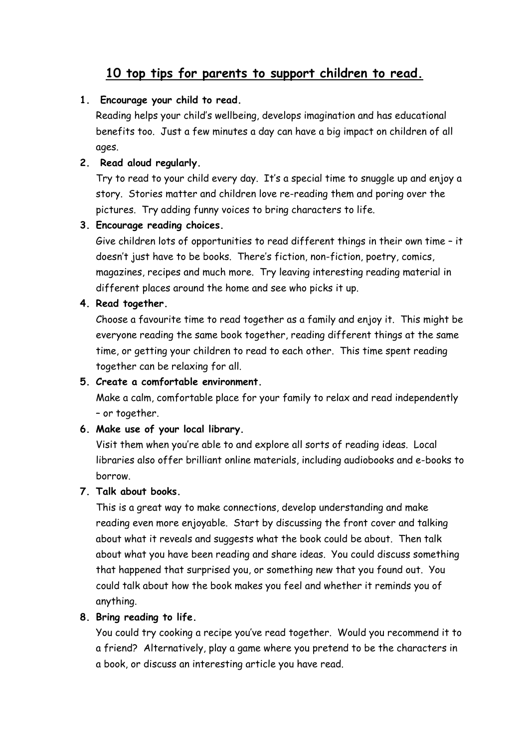# **10 top tips for parents to support children to read.**

## **1. Encourage your child to read.**

Reading helps your child's wellbeing, develops imagination and has educational benefits too. Just a few minutes a day can have a big impact on children of all ages.

# **2. Read aloud regularly.**

Try to read to your child every day. It's a special time to snuggle up and enjoy a story. Stories matter and children love re-reading them and poring over the pictures. Try adding funny voices to bring characters to life.

## **3. Encourage reading choices.**

Give children lots of opportunities to read different things in their own time – it doesn't just have to be books. There's fiction, non-fiction, poetry, comics, magazines, recipes and much more. Try leaving interesting reading material in different places around the home and see who picks it up.

## **4. Read together.**

Choose a favourite time to read together as a family and enjoy it. This might be everyone reading the same book together, reading different things at the same time, or getting your children to read to each other. This time spent reading together can be relaxing for all.

### **5. Create a comfortable environment.**

Make a calm, comfortable place for your family to relax and read independently – or together.

# **6. Make use of your local library.**

Visit them when you're able to and explore all sorts of reading ideas. Local libraries also offer brilliant online materials, including audiobooks and e-books to borrow.

### **7. Talk about books.**

This is a great way to make connections, develop understanding and make reading even more enjoyable. Start by discussing the front cover and talking about what it reveals and suggests what the book could be about. Then talk about what you have been reading and share ideas. You could discuss something that happened that surprised you, or something new that you found out. You could talk about how the book makes you feel and whether it reminds you of anything.

### **8. Bring reading to life.**

You could try cooking a recipe you've read together. Would you recommend it to a friend? Alternatively, play a game where you pretend to be the characters in a book, or discuss an interesting article you have read.